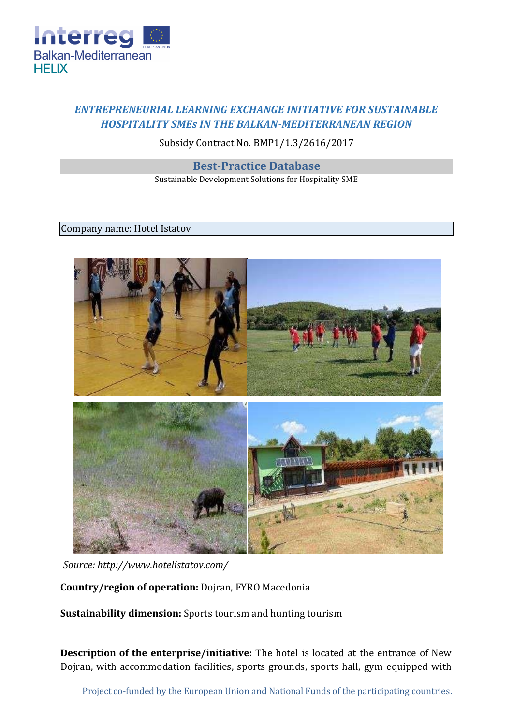

# *ENTREPRENEURIAL LEARNING EXCHANGE INITIATIVE FOR SUSTAINABLE HOSPITALITY SMEs IN THE BALKAN-MEDITERRANEAN REGION*

## Subsidy Contract No. BMP1/1.3/2616/2017

## **Best-Practice Database**

Sustainable Development Solutions for Hospitality SME

#### Company name: Hotel Istatov



*Source:<http://www.hotelistatov.com/>*

**Country/region of operation:** Dojran, FYRO Macedonia

**Sustainability dimension:** Sports tourism and hunting tourism

**Description of the enterprise/initiative:** The hotel is located at the entrance of New Dojran, with accommodation facilities, sports grounds, sports hall, gym equipped with

Project co-funded by the European Union and National Funds of the participating countries.